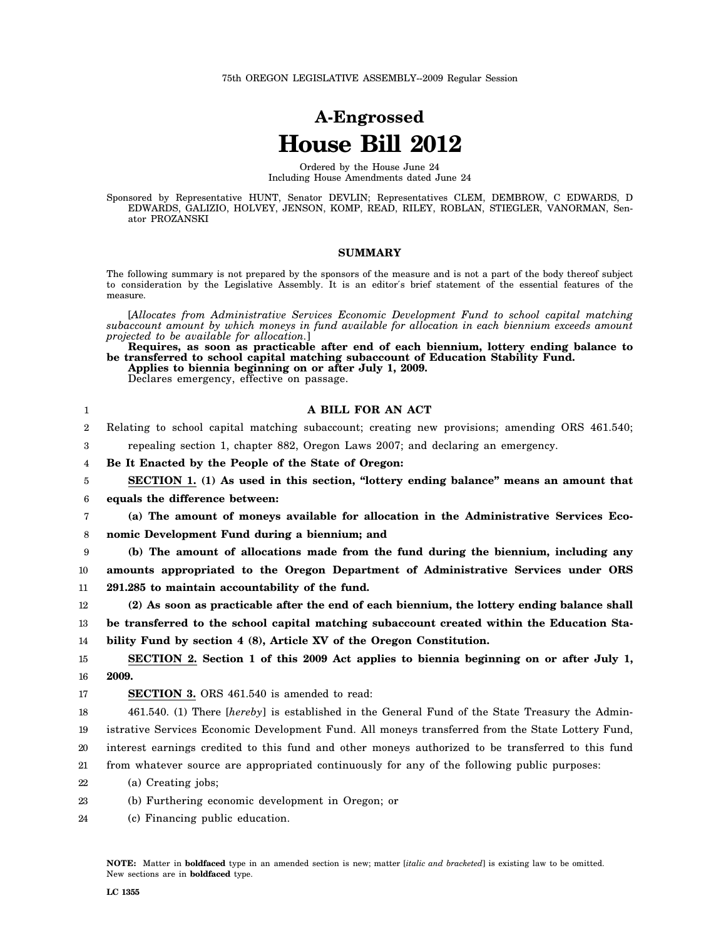## **A-Engrossed House Bill 2012**

Ordered by the House June 24 Including House Amendments dated June 24

Sponsored by Representative HUNT, Senator DEVLIN; Representatives CLEM, DEMBROW, C EDWARDS, D EDWARDS, GALIZIO, HOLVEY, JENSON, KOMP, READ, RILEY, ROBLAN, STIEGLER, VANORMAN, Senator PROZANSKI

## **SUMMARY**

The following summary is not prepared by the sponsors of the measure and is not a part of the body thereof subject to consideration by the Legislative Assembly. It is an editor′s brief statement of the essential features of the measure.

[*Allocates from Administrative Services Economic Development Fund to school capital matching subaccount amount by which moneys in fund available for allocation in each biennium exceeds amount projected to be available for allocation.*]

| Requires, as soon as practicable after end of each biennium, lottery ending balance to |  |
|----------------------------------------------------------------------------------------|--|
| be transferred to school capital matching subaccount of Education Stability Fund.      |  |
| Applies to biennia beginning on or after July 1, 2009.                                 |  |
| Declares emergency, effective on passage.                                              |  |

| 1                | A BILL FOR AN ACT                                                                                  |
|------------------|----------------------------------------------------------------------------------------------------|
| $\boldsymbol{2}$ | Relating to school capital matching subaccount; creating new provisions; amending ORS 461.540;     |
| 3                | repealing section 1, chapter 882, Oregon Laws 2007; and declaring an emergency.                    |
| 4                | Be It Enacted by the People of the State of Oregon:                                                |
| 5                | SECTION 1. (1) As used in this section, "lottery ending balance" means an amount that              |
| 6                | equals the difference between:                                                                     |
| 7                | (a) The amount of moneys available for allocation in the Administrative Services Eco-              |
| 8                | nomic Development Fund during a biennium; and                                                      |
| 9                | (b) The amount of allocations made from the fund during the biennium, including any                |
| 10               | amounts appropriated to the Oregon Department of Administrative Services under ORS                 |
| 11               | 291.285 to maintain accountability of the fund.                                                    |
| 12               | (2) As soon as practicable after the end of each biennium, the lottery ending balance shall        |
| 13               | be transferred to the school capital matching subaccount created within the Education Sta-         |
| 14               | bility Fund by section 4 (8), Article XV of the Oregon Constitution.                               |
| 15               | SECTION 2. Section 1 of this 2009 Act applies to biennia beginning on or after July 1,             |
| 16               | 2009.                                                                                              |
| 17               | <b>SECTION 3.</b> ORS 461.540 is amended to read:                                                  |
| 18               | 461.540. (1) There [hereby] is established in the General Fund of the State Treasury the Admin-    |
| 19               | istrative Services Economic Development Fund. All moneys transferred from the State Lottery Fund,  |
| 20               | interest earnings credited to this fund and other moneys authorized to be transferred to this fund |
| 21               | from whatever source are appropriated continuously for any of the following public purposes:       |
| 22               | (a) Creating jobs;                                                                                 |
| 23               | (b) Furthering economic development in Oregon; or                                                  |
| 24               | (c) Financing public education.                                                                    |
|                  |                                                                                                    |
|                  |                                                                                                    |

**NOTE:** Matter in **boldfaced** type in an amended section is new; matter [*italic and bracketed*] is existing law to be omitted. New sections are in **boldfaced** type.